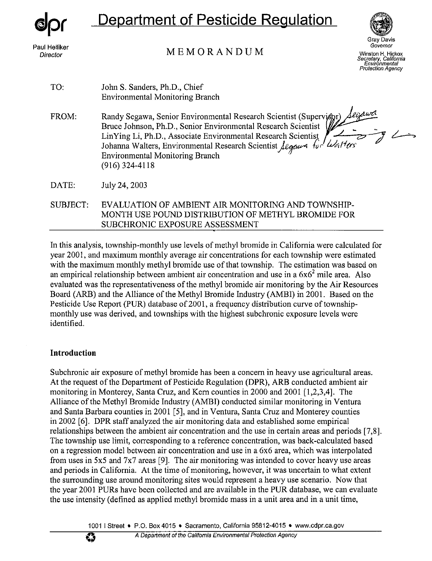

# Department of Pesticide Regulation

# MEMORANDUM



**Protection Agency** 

| TO:             | John S. Sanders, Ph.D., Chief<br><b>Environmental Monitoring Branch</b>                                                                                                                                                                                                                                                                           |
|-----------------|---------------------------------------------------------------------------------------------------------------------------------------------------------------------------------------------------------------------------------------------------------------------------------------------------------------------------------------------------|
| FROM:           | Randy Segawa, Senior Environmental Research Scientist (Supervisor) Algawa<br>Bruce Johnson, Ph.D., Senior Environmental Research Scientist<br>LinYing Li, Ph.D., Associate Environmental Research Scientist<br>Johanna Walters, Environmental Research Scientist Algens for Walters<br><b>Environmental Monitoring Branch</b><br>$(916)$ 324-4118 |
| DATE:           | July 24, 2003                                                                                                                                                                                                                                                                                                                                     |
| <b>SUBJECT:</b> | EVALUATION OF AMBIENT AIR MONITORING AND TOWNSHIP-<br>MONTH USE POUND DISTRIBUTION OF METHYL BROMIDE FOR                                                                                                                                                                                                                                          |

In this analysis, township-monthly use levels of methyl bromide in California were calculated for year 2001, and maximum monthly average air concentrations for each township were estimated with the maximum monthly methyl bromide use of that township. The estimation was based on an empirical relationship between ambient air concentration and use in a  $6x6<sup>2</sup>$  mile area. Also evaluated was the representativeness of the methyl bromide air monitoring by the Air Resources Board (ARB) and the Alliance of the Methyl Bromide Industry (AMBI) in 2001. Based on the Pesticide Use Report (PUR) database of 2001, a frequency distribution curve of townshipmonthly use was derived, and townships with the highest subchronic exposure levels were identified.

SUBCHRONIC EXPOSURE ASSESSMENT

#### **Introduction**

Subchronic air exposure of methyl bromide has been a concern in heavy use agricultural areas. At the request of the Department of Pesticide Regulation (DPR), ARB conducted ambient air monitoring in Monterey, Santa Cruz, and Kern counties in 2000 and 2001 [1,2,3,4]. The Alliance of the Methyl Bromide Industry (AMBI) conducted similar monitoring in Ventura and Santa Barbara counties in 2001 *[5],* and in Ventura, Santa Cruz and Monterey counties in 2002 [6]. DPR staff analyzed the air monitoring data and established some empirical relationships between the ambient air concentration and the use in certain areas and periods [7,8]. The township use limit, corresponding to a reference concentration, was back-calculated based on a regression model between air concentration and use in a 6x6 area, which was interpolated from uses in 5x5 and 7x7 areas [9]. The air monitoring was intended to cover heavy use areas and periods in California. At the time of monitoring, however, it was uncertain to what extent the surrounding use around monitoring sites would represent a heavy use scenario. Now that the year 2001 PURs have been collected and are available in the PUR database, we can evaluate the use intensity (defined as applied methyl bromide mass in a unit area and in a unit time,

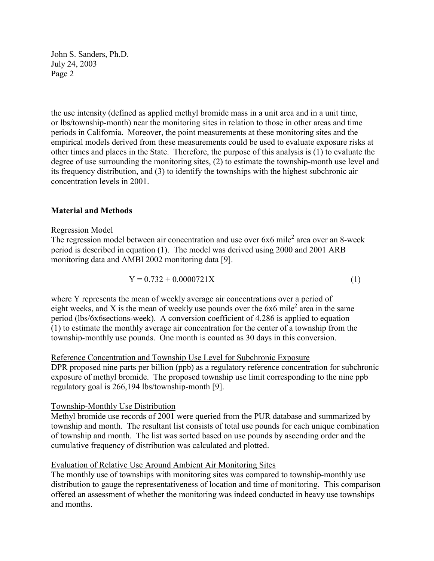John S. Sanders, Ph.D. July 24, 2003 Page 2

the use intensity (defined as applied methyl bromide mass in a unit area and in a unit time, or lbs/township-month) near the monitoring sites in relation to those in other areas and time periods in California. Moreover, the point measurements at these monitoring sites and the empirical models derived from these measurements could be used to evaluate exposure risks at other times and places in the State. Therefore, the purpose of this analysis is (1) to evaluate the degree of use surrounding the monitoring sites, (2) to estimate the township-month use level and its frequency distribution, and (3) to identify the townships with the highest subchronic air concentration levels in 2001.

#### **Material and Methods**

#### Regression Model

The regression model between air concentration and use over  $6x6$  mile<sup>2</sup> area over an 8-week period is described in equation (1). The model was derived using 2000 and 2001 ARB monitoring data and AMBI 2002 monitoring data [9].

$$
Y = 0.732 + 0.0000721X\tag{1}
$$

where Y represents the mean of weekly average air concentrations over a period of eight weeks, and X is the mean of weekly use pounds over the  $6x6$  mile<sup>2</sup> area in the same period (lbs/6x6sections-week). A conversion coefficient of 4.286 is applied to equation (1) to estimate the monthly average air concentration for the center of a township from the township-monthly use pounds. One month is counted as 30 days in this conversion.

#### Reference Concentration and Township Use Level for Subchronic Exposure

DPR proposed nine parts per billion (ppb) as a regulatory reference concentration for subchronic exposure of methyl bromide. The proposed township use limit corresponding to the nine ppb regulatory goal is 266,194 lbs/township-month [9].

#### Township-Monthly Use Distribution

Methyl bromide use records of 2001 were queried from the PUR database and summarized by township and month. The resultant list consists of total use pounds for each unique combination of township and month. The list was sorted based on use pounds by ascending order and the cumulative frequency of distribution was calculated and plotted.

#### Evaluation of Relative Use Around Ambient Air Monitoring Sites

The monthly use of townships with monitoring sites was compared to township-monthly use distribution to gauge the representativeness of location and time of monitoring. This comparison offered an assessment of whether the monitoring was indeed conducted in heavy use townships and months.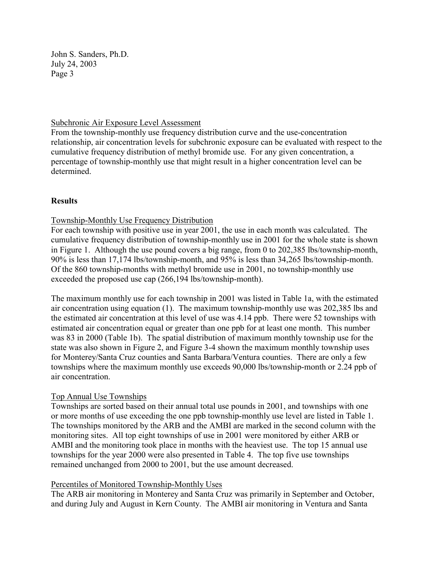John S. Sanders, Ph.D. July 24, 2003 Page 3

#### Subchronic Air Exposure Level Assessment

From the township-monthly use frequency distribution curve and the use-concentration relationship, air concentration levels for subchronic exposure can be evaluated with respect to the cumulative frequency distribution of methyl bromide use. For any given concentration, a percentage of township-monthly use that might result in a higher concentration level can be determined.

# **Results**

# Township-Monthly Use Frequency Distribution

For each township with positive use in year 2001, the use in each month was calculated. The cumulative frequency distribution of township-monthly use in 2001 for the whole state is shown in Figure 1. Although the use pound covers a big range, from 0 to 202,385 lbs/township-month, 90% is less than 17,174 lbs/township-month, and 95% is less than 34,265 lbs/township-month. Of the 860 township-months with methyl bromide use in 2001, no township-monthly use exceeded the proposed use cap (266,194 lbs/township-month).

The maximum monthly use for each township in 2001 was listed in Table 1a, with the estimated air concentration using equation (1). The maximum township-monthly use was 202,385 lbs and the estimated air concentration at this level of use was 4.14 ppb. There were 52 townships with estimated air concentration equal or greater than one ppb for at least one month. This number was 83 in 2000 (Table 1b). The spatial distribution of maximum monthly township use for the state was also shown in Figure 2, and Figure 3-4 shown the maximum monthly township uses for Monterey/Santa Cruz counties and Santa Barbara/Ventura counties. There are only a few townships where the maximum monthly use exceeds 90,000 lbs/township-month or 2.24 ppb of air concentration.

# Top Annual Use Townships

Townships are sorted based on their annual total use pounds in 2001, and townships with one or more months of use exceeding the one ppb township-monthly use level are listed in Table 1. The townships monitored by the ARB and the AMBI are marked in the second column with the monitoring sites. All top eight townships of use in 2001 were monitored by either ARB or AMBI and the monitoring took place in months with the heaviest use. The top 15 annual use townships for the year 2000 were also presented in Table 4. The top five use townships remained unchanged from 2000 to 2001, but the use amount decreased.

# Percentiles of Monitored Township-Monthly Uses

The ARB air monitoring in Monterey and Santa Cruz was primarily in September and October, and during July and August in Kern County. The AMBI air monitoring in Ventura and Santa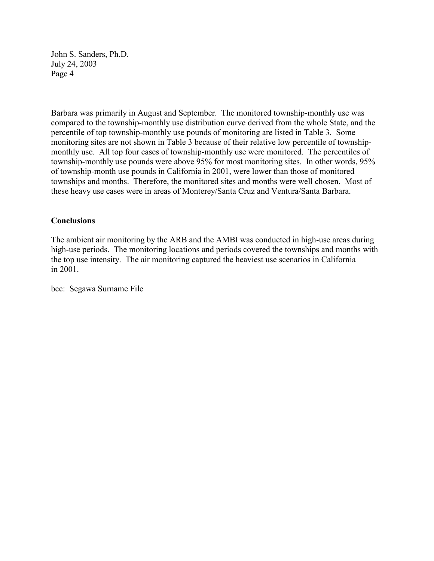John S. Sanders, Ph.D. July 24, 2003 Page 4

Barbara was primarily in August and September. The monitored township-monthly use was compared to the township-monthly use distribution curve derived from the whole State, and the percentile of top township-monthly use pounds of monitoring are listed in Table 3. Some monitoring sites are not shown in Table 3 because of their relative low percentile of townshipmonthly use. All top four cases of township-monthly use were monitored. The percentiles of township-monthly use pounds were above 95% for most monitoring sites. In other words, 95% of township-month use pounds in California in 2001, were lower than those of monitored townships and months. Therefore, the monitored sites and months were well chosen. Most of these heavy use cases were in areas of Monterey/Santa Cruz and Ventura/Santa Barbara.

#### **Conclusions**

The ambient air monitoring by the ARB and the AMBI was conducted in high-use areas during high-use periods. The monitoring locations and periods covered the townships and months with the top use intensity. The air monitoring captured the heaviest use scenarios in California in 2001.

bcc: Segawa Surname File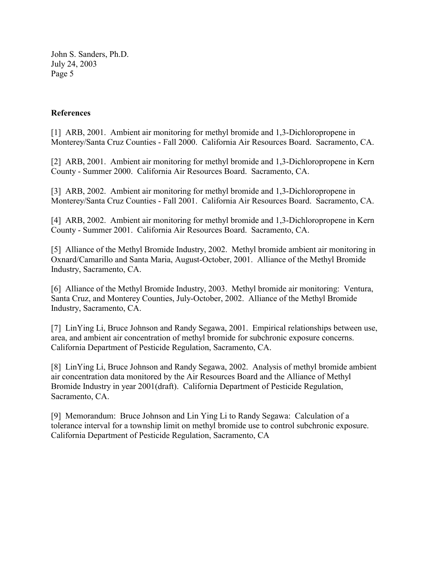John S. Sanders, Ph.D. July 24, 2003 Page 5

#### **References**

[1] ARB, 2001. Ambient air monitoring for methyl bromide and 1,3-Dichloropropene in Monterey/Santa Cruz Counties - Fall 2000. California Air Resources Board. Sacramento, CA.

[2] ARB, 2001. Ambient air monitoring for methyl bromide and 1,3-Dichloropropene in Kern County - Summer 2000. California Air Resources Board. Sacramento, CA.

[3] ARB, 2002. Ambient air monitoring for methyl bromide and 1,3-Dichloropropene in Monterey/Santa Cruz Counties - Fall 2001. California Air Resources Board. Sacramento, CA.

[4] ARB, 2002. Ambient air monitoring for methyl bromide and 1,3-Dichloropropene in Kern County - Summer 2001. California Air Resources Board. Sacramento, CA.

[5] Alliance of the Methyl Bromide Industry, 2002. Methyl bromide ambient air monitoring in Oxnard/Camarillo and Santa Maria, August-October, 2001. Alliance of the Methyl Bromide Industry, Sacramento, CA.

[6] Alliance of the Methyl Bromide Industry, 2003. Methyl bromide air monitoring: Ventura, Santa Cruz, and Monterey Counties, July-October, 2002. Alliance of the Methyl Bromide Industry, Sacramento, CA.

[7] LinYing Li, Bruce Johnson and Randy Segawa, 2001. Empirical relationships between use, area, and ambient air concentration of methyl bromide for subchronic exposure concerns. California Department of Pesticide Regulation, Sacramento, CA.

[8] LinYing Li, Bruce Johnson and Randy Segawa, 2002. Analysis of methyl bromide ambient air concentration data monitored by the Air Resources Board and the Alliance of Methyl Bromide Industry in year 2001(draft). California Department of Pesticide Regulation, Sacramento, CA.

[9] Memorandum: Bruce Johnson and Lin Ying Li to Randy Segawa: Calculation of a tolerance interval for a township limit on methyl bromide use to control subchronic exposure. California Department of Pesticide Regulation, Sacramento, CA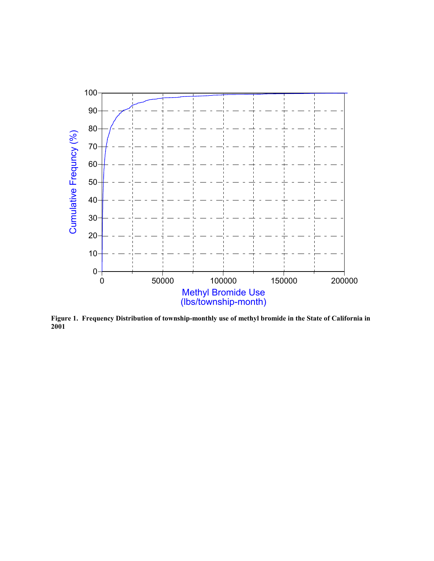

**Figure 1. Frequency Distribution of township-monthly use of methyl bromide in the State of California in 2001**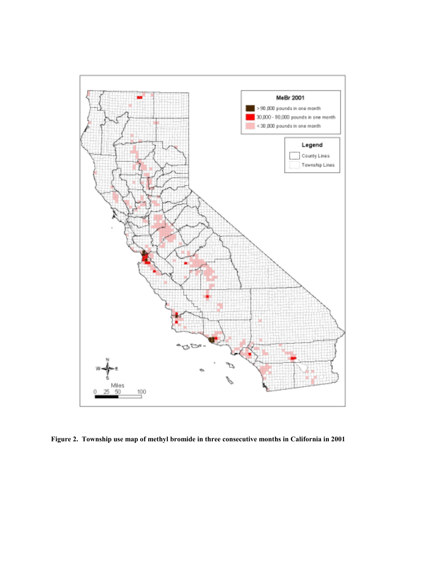

**Figure 2. Township use map of methyl bromide in three consecutive months in California in 2001**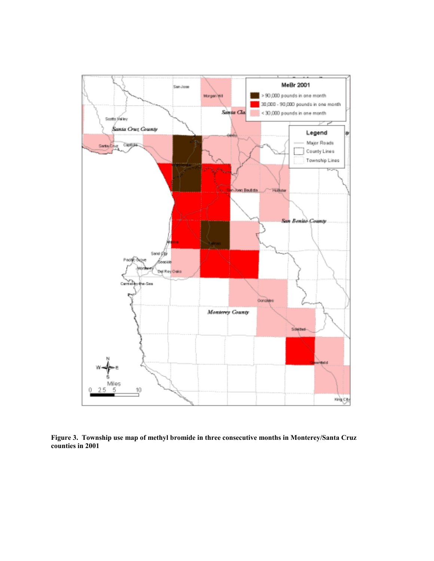

**Figure 3. Township use map of methyl bromide in three consecutive months in Monterey/Santa Cruz counties in 2001**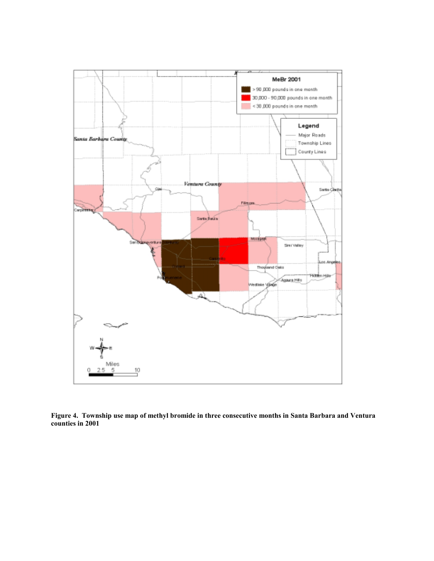

**Figure 4. Township use map of methyl bromide in three consecutive months in Santa Barbara and Ventura counties in 2001**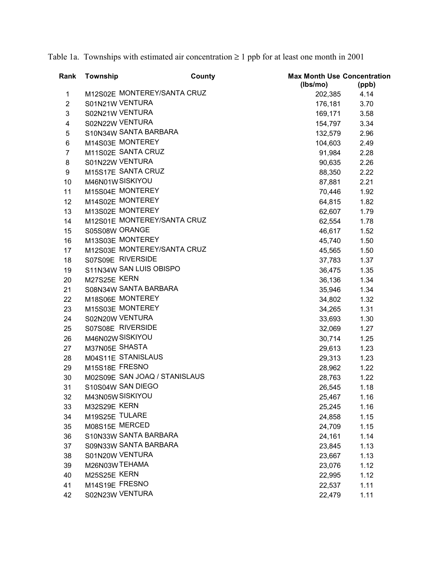Table 1a. Townships with estimated air concentration  $\geq 1$  ppb for at least one month in 2001

| Rank           | Township       | County                        | <b>Max Month Use Concentration</b><br>(lbs/mo) | (ppb) |
|----------------|----------------|-------------------------------|------------------------------------------------|-------|
| $\mathbf{1}$   |                | M12S02E MONTEREY/SANTA CRUZ   | 202,385                                        | 4.14  |
| $\overline{2}$ |                | S01N21W VENTURA               | 176,181                                        | 3.70  |
| 3              |                | S02N21W VENTURA               | 169,171                                        | 3.58  |
| 4              |                | S02N22W VENTURA               | 154,797                                        | 3.34  |
| 5              |                | S10N34W SANTA BARBARA         | 132,579                                        | 2.96  |
| 6              |                | M14S03E MONTEREY              | 104,603                                        | 2.49  |
| $\overline{7}$ |                | M11S02E SANTA CRUZ            | 91,984                                         | 2.28  |
| 8              |                | S01N22W VENTURA               | 90,635                                         | 2.26  |
| 9              |                | M15S17E SANTA CRUZ            | 88,350                                         | 2.22  |
| 10             |                | M46N01WSISKIYOU               | 87,881                                         | 2.21  |
| 11             |                | M15S04E MONTEREY              | 70,446                                         | 1.92  |
| 12             |                | M14S02E MONTEREY              | 64,815                                         | 1.82  |
| 13             |                | M13S02E MONTEREY              | 62,607                                         | 1.79  |
| 14             |                | M12S01E MONTEREY/SANTA CRUZ   | 62,554                                         | 1.78  |
| 15             | S05S08W ORANGE |                               | 46,617                                         | 1.52  |
| 16             |                | M13S03E MONTEREY              | 45,740                                         | 1.50  |
| 17             |                | M12S03E MONTEREY/SANTA CRUZ   | 45,565                                         | 1.50  |
| 18             |                | S07S09E RIVERSIDE             | 37,783                                         | 1.37  |
| 19             |                | S11N34W SAN LUIS OBISPO       | 36,475                                         | 1.35  |
| 20             | M27S25E KERN   |                               | 36,136                                         | 1.34  |
| 21             |                | S08N34W SANTA BARBARA         | 35,946                                         | 1.34  |
| 22             |                | M18S06E MONTEREY              | 34,802                                         | 1.32  |
| 23             |                | M15S03E MONTEREY              | 34,265                                         | 1.31  |
| 24             |                | S02N20W VENTURA               | 33,693                                         | 1.30  |
| 25             |                | S07S08E RIVERSIDE             | 32,069                                         | 1.27  |
| 26             |                | M46N02W SISKIYOU              | 30,714                                         | 1.25  |
| 27             | M37N05E SHASTA |                               | 29,613                                         | 1.23  |
| 28             |                | M04S11E STANISLAUS            | 29,313                                         | 1.23  |
| 29             | M15S18E FRESNO |                               | 28,962                                         | 1.22  |
| 30             |                | M02S09E SAN JOAQ / STANISLAUS | 28,763                                         | 1.22  |
| 31             |                | S10S04W SAN DIEGO             | 26,545                                         | 1.18  |
| 32             |                | M43N05W SISKIYOU              | 25,467                                         | 1.16  |
| 33             | M32S29E KERN   |                               | 25,245                                         | 1.16  |
| 34             | M19S25E TULARE |                               | 24,858                                         | 1.15  |
| 35             | M08S15E MERCED |                               | 24,709                                         | 1.15  |
| 36             |                | S10N33W SANTA BARBARA         | 24,161                                         | 1.14  |
| 37             |                | S09N33W SANTA BARBARA         | 23,845                                         | 1.13  |
| 38             |                | S01N20W VENTURA               | 23,667                                         | 1.13  |
| 39             | M26N03W TEHAMA |                               | 23,076                                         | 1.12  |
| 40             | M25S25E KERN   |                               | 22,995                                         | 1.12  |
| 41             | M14S19E FRESNO |                               | 22,537                                         | 1.11  |
| 42             |                | S02N23W VENTURA               | 22,479                                         | 1.11  |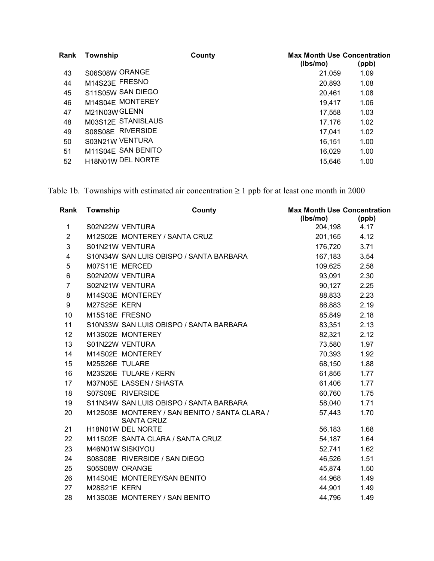| Rank | Township           | County | <b>Max Month Use Concentration</b><br>(lbs/mo) | (ppb) |
|------|--------------------|--------|------------------------------------------------|-------|
| 43   | S06S08W ORANGE     |        | 21,059                                         | 1.09  |
| 44   | M14S23E FRESNO     |        | 20,893                                         | 1.08  |
| 45   | S11S05W SAN DIEGO  |        | 20,461                                         | 1.08  |
| 46   | M14S04E MONTEREY   |        | 19,417                                         | 1.06  |
| 47   | M21N03W GLENN      |        | 17,558                                         | 1.03  |
| 48   | M03S12E STANISLAUS |        | 17,176                                         | 1.02  |
| 49   | S08S08E RIVERSIDE  |        | 17,041                                         | 1.02  |
| 50   | S03N21W VENTURA    |        | 16,151                                         | 1.00  |
| 51   | M11S04E SAN BENITO |        | 16,029                                         | 1.00  |
| 52   | H18N01W DEL NORTE  |        | 15,646                                         | 1.00  |

Table 1b. Townships with estimated air concentration  $\geq 1$  ppb for at least one month in 2000

| Rank                    | Township       | County                                                             | <b>Max Month Use Concentration</b><br>(lbs/mo) | (ppb) |
|-------------------------|----------------|--------------------------------------------------------------------|------------------------------------------------|-------|
| 1                       |                | S02N22W VENTURA                                                    | 204,198                                        | 4.17  |
| $\overline{2}$          |                | M12S02E MONTEREY / SANTA CRUZ                                      | 201,165                                        | 4.12  |
| 3                       |                | S01N21W VENTURA                                                    | 176,720                                        | 3.71  |
| $\overline{\mathbf{4}}$ |                | S10N34W SAN LUIS OBISPO / SANTA BARBARA                            | 167,183                                        | 3.54  |
| 5                       | M07S11E MERCED |                                                                    | 109,625                                        | 2.58  |
| $\,6$                   |                | S02N20W VENTURA                                                    | 93,091                                         | 2.30  |
| $\overline{7}$          |                | S02N21W VENTURA                                                    | 90,127                                         | 2.25  |
| 8                       |                | M14S03E MONTEREY                                                   | 88,833                                         | 2.23  |
| 9                       | M27S25E KERN   |                                                                    | 86,883                                         | 2.19  |
| 10                      | M15S18E FRESNO |                                                                    | 85,849                                         | 2.18  |
| 11                      |                | S10N33W SAN LUIS OBISPO / SANTA BARBARA                            | 83,351                                         | 2.13  |
| 12                      |                | M13S02E MONTEREY                                                   | 82,321                                         | 2.12  |
| 13                      |                | S01N22W VENTURA                                                    | 73,580                                         | 1.97  |
| 14                      |                | M14S02E MONTEREY                                                   | 70,393                                         | 1.92  |
| 15                      | M25S26E TULARE |                                                                    | 68,150                                         | 1.88  |
| 16                      |                | M23S26E TULARE / KERN                                              | 61,856                                         | 1.77  |
| 17                      |                | M37N05E LASSEN / SHASTA                                            | 61,406                                         | 1.77  |
| 18                      |                | S07S09E RIVERSIDE                                                  | 60,760                                         | 1.75  |
| 19                      |                | S11N34W SAN LUIS OBISPO / SANTA BARBARA                            | 58,040                                         | 1.71  |
| 20                      |                | M12S03E MONTEREY / SAN BENITO / SANTA CLARA /<br><b>SANTA CRUZ</b> | 57,443                                         | 1.70  |
| 21                      |                | H18N01W DEL NORTE                                                  | 56,183                                         | 1.68  |
| 22                      |                | M11S02E SANTA CLARA / SANTA CRUZ                                   | 54,187                                         | 1.64  |
| 23                      |                | M46N01W SISKIYOU                                                   | 52,741                                         | 1.62  |
| 24                      |                | S08S08E RIVERSIDE / SAN DIEGO                                      | 46,526                                         | 1.51  |
| 25                      | S05S08W ORANGE |                                                                    | 45,874                                         | 1.50  |
| 26                      |                | M14S04E MONTEREY/SAN BENITO                                        | 44,968                                         | 1.49  |
| 27                      | M28S21E KERN   |                                                                    | 44,901                                         | 1.49  |
| 28                      |                | M13S03E MONTEREY / SAN BENITO                                      | 44,796                                         | 1.49  |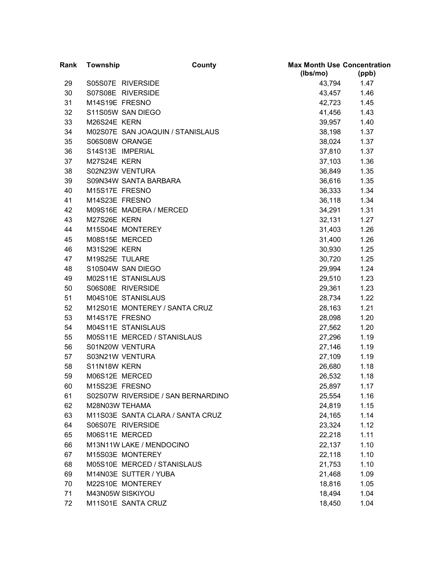| Rank | <b>Township</b> | County                             | <b>Max Month Use Concentration</b> |       |
|------|-----------------|------------------------------------|------------------------------------|-------|
|      |                 |                                    | (lbs/mo)                           | (ppb) |
| 29   |                 | S05S07E RIVERSIDE                  | 43,794                             | 1.47  |
| 30   |                 | S07S08E RIVERSIDE                  | 43,457                             | 1.46  |
| 31   | M14S19E FRESNO  |                                    | 42,723                             | 1.45  |
| 32   |                 | S11S05W SAN DIEGO                  | 41,456                             | 1.43  |
| 33   | M26S24E KERN    |                                    | 39,957                             | 1.40  |
| 34   |                 | M02S07E SAN JOAQUIN / STANISLAUS   | 38,198                             | 1.37  |
| 35   | S06S08W ORANGE  |                                    | 38,024                             | 1.37  |
| 36   |                 | S14S13E IMPERIAL                   | 37,810                             | 1.37  |
| 37   | M27S24E KERN    |                                    | 37,103                             | 1.36  |
| 38   |                 | S02N23W VENTURA                    | 36,849                             | 1.35  |
| 39   |                 | S09N34W SANTA BARBARA              | 36,616                             | 1.35  |
| 40   | M15S17E FRESNO  |                                    | 36,333                             | 1.34  |
| 41   | M14S23E FRESNO  |                                    | 36,118                             | 1.34  |
| 42   |                 | M09S16E MADERA / MERCED            | 34,291                             | 1.31  |
| 43   | M27S26E KERN    |                                    | 32,131                             | 1.27  |
| 44   |                 | M15S04E MONTEREY                   | 31,403                             | 1.26  |
| 45   | M08S15E MERCED  |                                    | 31,400                             | 1.26  |
| 46   | M31S29E KERN    |                                    | 30,930                             | 1.25  |
| 47   | M19S25E TULARE  |                                    | 30,720                             | 1.25  |
| 48   |                 | S10S04W SAN DIEGO                  | 29,994                             | 1.24  |
| 49   |                 | M02S11E STANISLAUS                 | 29,510                             | 1.23  |
| 50   |                 | S06S08E RIVERSIDE                  | 29,361                             | 1.23  |
| 51   |                 | M04S10E STANISLAUS                 | 28,734                             | 1.22  |
| 52   |                 | M12S01E MONTEREY / SANTA CRUZ      | 28,163                             | 1.21  |
| 53   | M14S17E FRESNO  |                                    | 28,098                             | 1.20  |
| 54   |                 | M04S11E STANISLAUS                 | 27,562                             | 1.20  |
| 55   |                 | M05S11E MERCED / STANISLAUS        | 27,296                             | 1.19  |
| 56   |                 | S01N20W VENTURA                    | 27,146                             | 1.19  |
| 57   |                 | S03N21W VENTURA                    | 27,109                             | 1.19  |
| 58   | S11N18W KERN    |                                    | 26,680                             | 1.18  |
| 59   | M06S12E MERCED  |                                    | 26,532                             | 1.18  |
| 60   | M15S23E FRESNO  |                                    | 25,897                             | 1.17  |
| 61   |                 | S02S07W RIVERSIDE / SAN BERNARDINO | 25,554                             | 1.16  |
| 62   | M28N03W TEHAMA  |                                    | 24,819                             | 1.15  |
| 63   |                 | M11S03E SANTA CLARA / SANTA CRUZ   | 24,165                             | 1.14  |
| 64   |                 | S06S07E RIVERSIDE                  | 23,324                             | 1.12  |
| 65   | M06S11E MERCED  |                                    | 22,218                             | 1.11  |
| 66   |                 | M13N11W LAKE / MENDOCINO           | 22,137                             | 1.10  |
| 67   |                 | M15S03E MONTEREY                   | 22,118                             | 1.10  |
| 68   |                 | M05S10E MERCED / STANISLAUS        | 21,753                             | 1.10  |
| 69   |                 | M14N03E SUTTER / YUBA              | 21,468                             | 1.09  |
| 70   |                 | M22S10E MONTEREY                   | 18,816                             | 1.05  |
| 71   |                 | M43N05W SISKIYOU                   | 18,494                             | 1.04  |
| 72   |                 | M11S01E SANTA CRUZ                 | 18,450                             | 1.04  |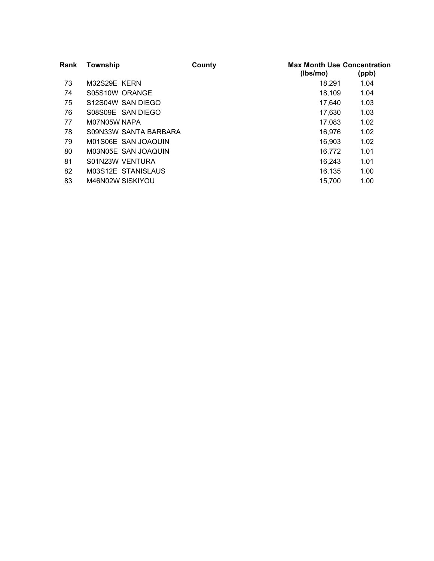| Rank | Township              | County | <b>Max Month Use Concentration</b><br>(lbs/mo) | (ppb) |
|------|-----------------------|--------|------------------------------------------------|-------|
| 73   | M32S29E KERN          |        | 18.291                                         | 1.04  |
| 74   | S05S10W ORANGE        |        | 18,109                                         | 1.04  |
| 75   | S12S04W SAN DIEGO     |        | 17.640                                         | 1.03  |
| 76   | S08S09E SAN DIEGO     |        | 17,630                                         | 1.03  |
| 77   | M07N05W NAPA          |        | 17,083                                         | 1.02  |
| 78   | S09N33W SANTA BARBARA |        | 16,976                                         | 1.02  |
| 79   | M01S06E SAN JOAQUIN   |        | 16.903                                         | 1.02  |
| 80   | M03N05E SAN JOAQUIN   |        | 16,772                                         | 1.01  |
| 81   | S01N23W VENTURA       |        | 16.243                                         | 1.01  |
| 82   | M03S12E STANISLAUS    |        | 16.135                                         | 1.00  |
| 83   | M46N02W SISKIYOU      |        | 15.700                                         | 1.00  |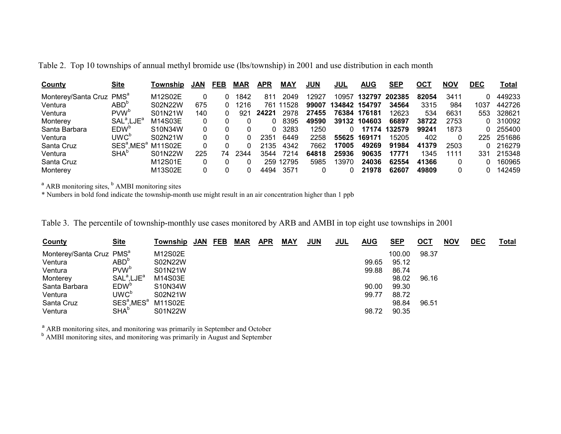|  |  |  |  |  | Table 2. Top 10 townships of annual methyl bromide use (lbs/township) in 2001 and use distribution in each month |  |  |  |  |  |  |  |  |  |
|--|--|--|--|--|------------------------------------------------------------------------------------------------------------------|--|--|--|--|--|--|--|--|--|
|--|--|--|--|--|------------------------------------------------------------------------------------------------------------------|--|--|--|--|--|--|--|--|--|

| <b>County</b>       | Site                               | Township | <b>JAN</b> | FEB | <b>MAR</b> | <b>APR</b> | MAY   | <b>JUN</b> | JUL           | <b>AUG</b>   | <b>SEP</b> | ост   | <b>NOV</b> | DEC  | Total  |
|---------------------|------------------------------------|----------|------------|-----|------------|------------|-------|------------|---------------|--------------|------------|-------|------------|------|--------|
| Monterey/Santa Cruz | PMS <sup>a</sup>                   | M12S02E  |            |     | 1842       | 811        | 2049  | 2927       | 10957         | 132797       | 202385     | 82054 | 3411       |      | 449233 |
| Ventura             | $ABD^c$                            | S02N22W  | 675        |     | 1216       | 761        | '1528 | 99007      | 134842 154797 |              | 34564      | 3315  | 984        | 1037 | 442726 |
| Ventura             | PVW <sup>b</sup>                   | S01N21W  | 140        |     | 921        | 24221      | 2978  | 27455      |               | 76384 176181 | 12623      | 534   | 6631       | 553  | 328621 |
| Monterey            | SAL <sup>a</sup> .LJE <sup>a</sup> | M14S03E  |            |     |            |            | 8395  | 49590      | 39132         | 104603       | 66897      | 38722 | 2753       |      | 310092 |
| Santa Barbara       | EDW <sup>1</sup>                   | S10N34W  |            |     |            | 0.         | 3283  | 1250       |               | 17174        | 132579     | 99241 | 1873       |      | 255400 |
| Ventura             | UWC <sup>b</sup>                   | S02N21W  |            |     |            | 2351       | 6449  | 2258       | 55625         | 169171       | 15205      | 402   |            | 225  | 251686 |
| Santa Cruz          | SES <sup>ª</sup> .MES <sup>ª</sup> | M11S02E  |            |     |            | 2135       | 4342  | 7662       | 17005         | 49269        | 91984      | 41379 | 2503       |      | 216279 |
| Ventura             | SHA'                               | S01N22W  | 225        | 74  | 2344       | 3544       | 7214  | 64818      | 25936         | 90635        | 17771      | 1345  | 1111       | 331  | 215348 |
| Santa Cruz          |                                    | M12S01E  |            |     |            | 259        | 12795 | 5985       | 13970         | 24036        | 62554      | 41366 |            |      | 160965 |
| Monterey            |                                    | M13S02E  |            |     |            | 4494       | 3571  |            |               | 21978        | 62607      | 49809 |            |      | 142459 |

 $a$  ARB monitoring sites,  $b$  AMBI monitoring sites

\* Numbers in bold fond indicate the township-month use might result in an air concentration higher than 1 ppb

Table 3. The percentile of township-monthly use cases monitored by ARB and AMBI in top eight use townships in 2001

| <b>County</b>                        | <u>Site</u>                         | Township | JAN | FEB | <b>MAR</b> | <b>APR</b> | <b>MAY</b> | <b>JUN</b> | <b>JUL</b> | <b>AUG</b> | <b>SEP</b> | <b>OCT</b> | <b>NOV</b> | <b>DEC</b> | <u>Total</u> |
|--------------------------------------|-------------------------------------|----------|-----|-----|------------|------------|------------|------------|------------|------------|------------|------------|------------|------------|--------------|
| Monterey/Santa Cruz PMS <sup>a</sup> |                                     | M12S02E  |     |     |            |            |            |            |            |            | 100.00     | 98.37      |            |            |              |
| Ventura                              | ABD <sup>b</sup>                    | S02N22W  |     |     |            |            |            |            |            | 99.65      | 95.12      |            |            |            |              |
| Ventura                              | PVW <sup>b</sup>                    | S01N21W  |     |     |            |            |            |            |            | 99.88      | 86.74      |            |            |            |              |
| Monterey                             | SAL <sup>a</sup> , LJE <sup>a</sup> | M14S03E  |     |     |            |            |            |            |            |            | 98.02      | 96.16      |            |            |              |
| Santa Barbara                        | EDW <sup>D</sup>                    | S10N34W  |     |     |            |            |            |            |            | 90.00      | 99.30      |            |            |            |              |
| Ventura                              | UWC <sup>b</sup>                    | S02N21W  |     |     |            |            |            |            |            | 99.77      | 88.72      |            |            |            |              |
| Santa Cruz                           | SES <sup>a</sup> ,MES <sup>a</sup>  | M11S02E  |     |     |            |            |            |            |            |            | 98.84      | 96.51      |            |            |              |
| Ventura                              | SHA <sup>b</sup>                    | S01N22W  |     |     |            |            |            |            |            | 98.72      | 90.35      |            |            |            |              |

<sup>a</sup> ARB monitoring sites, and monitoring was primarily in September and October b AMBI monitoring sites, and monitoring was primarily in August and September